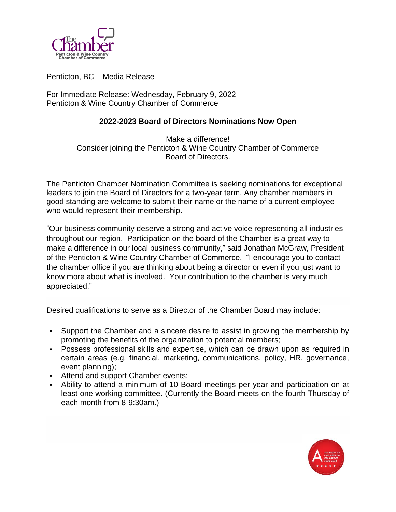

Penticton, BC – Media Release

For Immediate Release: Wednesday, February 9, 2022 Penticton & Wine Country Chamber of Commerce

## **2022-2023 Board of Directors Nominations Now Open**

Make a difference! Consider joining the Penticton & Wine Country Chamber of Commerce Board of Directors.

The Penticton Chamber Nomination Committee is seeking nominations for exceptional leaders to join the Board of Directors for a two-year term. Any chamber members in good standing are welcome to submit their name or the name of a current employee who would represent their membership.

"Our business community deserve a strong and active voice representing all industries throughout our region. Participation on the board of the Chamber is a great way to make a difference in our local business community," said Jonathan McGraw, President of the Penticton & Wine Country Chamber of Commerce. "I encourage you to contact the chamber office if you are thinking about being a director or even if you just want to know more about what is involved. Your contribution to the chamber is very much appreciated."

Desired qualifications to serve as a Director of the Chamber Board may include:

- Support the Chamber and a sincere desire to assist in growing the membership by promoting the benefits of the organization to potential members;
- Possess professional skills and expertise, which can be drawn upon as required in certain areas (e.g. financial, marketing, communications, policy, HR, governance, event planning);
- **Attend and support Chamber events;**
- Ability to attend a minimum of 10 Board meetings per year and participation on at least one working committee. (Currently the Board meets on the fourth Thursday of each month from 8-9:30am.)